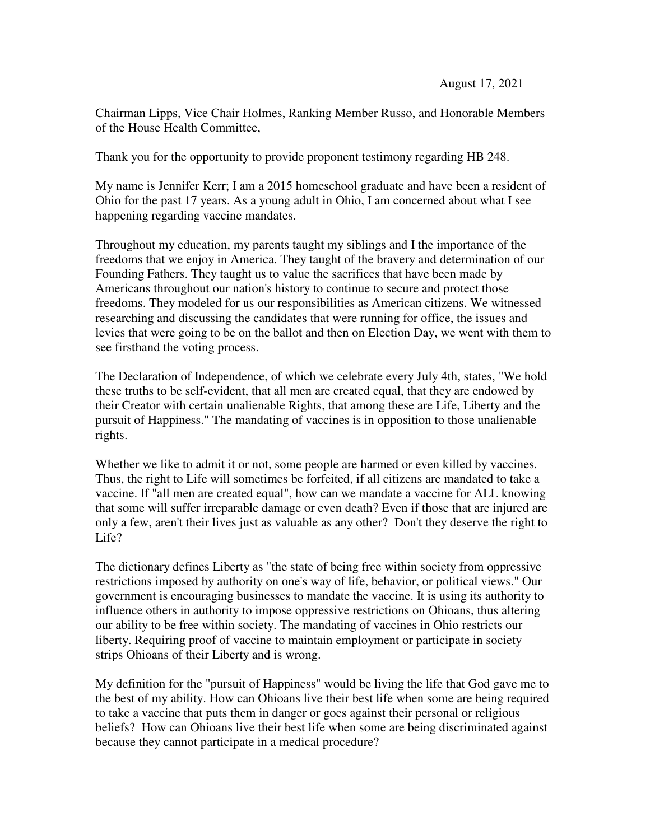Chairman Lipps, Vice Chair Holmes, Ranking Member Russo, and Honorable Members of the House Health Committee,

Thank you for the opportunity to provide proponent testimony regarding HB 248.

My name is Jennifer Kerr; I am a 2015 homeschool graduate and have been a resident of Ohio for the past 17 years. As a young adult in Ohio, I am concerned about what I see happening regarding vaccine mandates.

Throughout my education, my parents taught my siblings and I the importance of the freedoms that we enjoy in America. They taught of the bravery and determination of our Founding Fathers. They taught us to value the sacrifices that have been made by Americans throughout our nation's history to continue to secure and protect those freedoms. They modeled for us our responsibilities as American citizens. We witnessed researching and discussing the candidates that were running for office, the issues and levies that were going to be on the ballot and then on Election Day, we went with them to see firsthand the voting process.

The Declaration of Independence, of which we celebrate every July 4th, states, "We hold these truths to be self-evident, that all men are created equal, that they are endowed by their Creator with certain unalienable Rights, that among these are Life, Liberty and the pursuit of Happiness." The mandating of vaccines is in opposition to those unalienable rights.

Whether we like to admit it or not, some people are harmed or even killed by vaccines. Thus, the right to Life will sometimes be forfeited, if all citizens are mandated to take a vaccine. If "all men are created equal", how can we mandate a vaccine for ALL knowing that some will suffer irreparable damage or even death? Even if those that are injured are only a few, aren't their lives just as valuable as any other? Don't they deserve the right to Life?

The dictionary defines Liberty as "the state of being free within society from oppressive restrictions imposed by authority on one's way of life, behavior, or political views." Our government is encouraging businesses to mandate the vaccine. It is using its authority to influence others in authority to impose oppressive restrictions on Ohioans, thus altering our ability to be free within society. The mandating of vaccines in Ohio restricts our liberty. Requiring proof of vaccine to maintain employment or participate in society strips Ohioans of their Liberty and is wrong.

My definition for the "pursuit of Happiness" would be living the life that God gave me to the best of my ability. How can Ohioans live their best life when some are being required to take a vaccine that puts them in danger or goes against their personal or religious beliefs? How can Ohioans live their best life when some are being discriminated against because they cannot participate in a medical procedure?